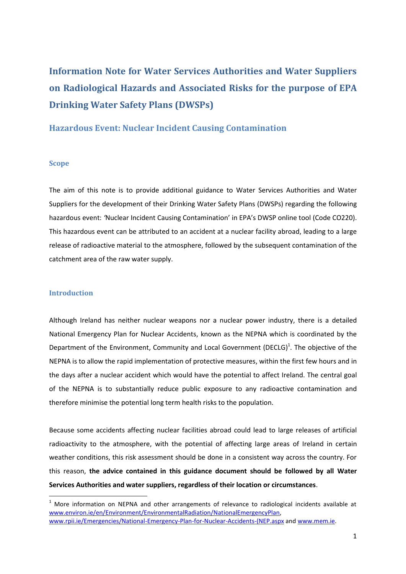# **Information Note for Water Services Authorities and Water Suppliers on Radiological Hazards and Associated Risks for the purpose of EPA Drinking Water Safety Plans (DWSPs)**

## **Hazardous Event: Nuclear Incident Causing Contamination**

#### **Scope**

The aim of this note is to provide additional guidance to Water Services Authorities and Water Suppliers for the development of their Drinking Water Safety Plans (DWSPs) regarding the following hazardous event: *'*Nuclear Incident Causing Contamination' in EPA's DWSP online tool (Code CO220). This hazardous event can be attributed to an accident at a nuclear facility abroad, leading to a large release of radioactive material to the atmosphere, followed by the subsequent contamination of the catchment area of the raw water supply.

#### **Introduction**

**.** 

Although Ireland has neither nuclear weapons nor a nuclear power industry, there is a detailed National Emergency Plan for Nuclear Accidents, known as the NEPNA which is coordinated by the Department of the Environment, Community and Local Government (DECLG)<sup>1</sup>. The objective of the NEPNA is to allow the rapid implementation of protective measures, within the first few hours and in the days after a nuclear accident which would have the potential to affect Ireland. The central goal of the NEPNA is to substantially reduce public exposure to any radioactive contamination and therefore minimise the potential long term health risks to the population.

Because some accidents affecting nuclear facilities abroad could lead to large releases of artificial radioactivity to the atmosphere, with the potential of affecting large areas of Ireland in certain weather conditions, this risk assessment should be done in a consistent way across the country. For this reason, **the advice contained in this guidance document should be followed by all Water Services Authorities and water suppliers, regardless of their location or circumstances**.

 $1$  More information on NEPNA and other arrangements of relevance to radiological incidents available at [www.environ.ie/en/Environment/EnvironmentalRadiation/NationalEmergencyPlan,](http://www.environ.ie/en/Environment/EnvironmentalRadiation/NationalEmergencyPlan)  [www.rpii.ie/Emergencies/National-Emergency-Plan-for-Nuclear-Accidents-\(NEP.aspx](http://www.rpii.ie/Emergencies/National-Emergency-Plan-for-Nuclear-Accidents-(NEP.aspx) an[d www.mem.ie.](http://www.mem.ie/)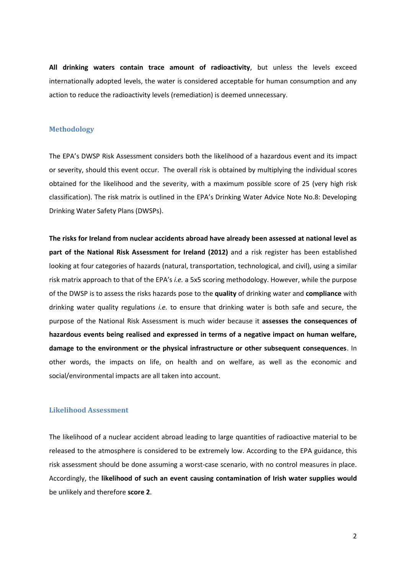**All drinking waters contain trace amount of radioactivity**, but unless the levels exceed internationally adopted levels, the water is considered acceptable for human consumption and any action to reduce the radioactivity levels (remediation) is deemed unnecessary.

#### **Methodology**

The EPA's DWSP Risk Assessment considers both the likelihood of a hazardous event and its impact or severity, should this event occur. The overall risk is obtained by multiplying the individual scores obtained for the likelihood and the severity, with a maximum possible score of 25 (very high risk classification). The risk matrix is outlined in the EPA's Drinking Water Advice Note No.8: Developing Drinking Water Safety Plans (DWSPs).

**The risks for Ireland from nuclear accidents abroad have already been assessed at national level as part of the National Risk Assessment for Ireland (2012)** and a risk register has been established looking at four categories of hazards (natural, transportation, technological, and civil), using a similar risk matrix approach to that of the EPA's *i.e.* a 5x5 scoring methodology. However, while the purpose of the DWSP is to assess the risks hazards pose to the **quality** of drinking water and **compliance** with drinking water quality regulations *i.e.* to ensure that drinking water is both safe and secure, the purpose of the National Risk Assessment is much wider because it **assesses the consequences of hazardous events being realised and expressed in terms of a negative impact on human welfare, damage to the environment or the physical infrastructure or other subsequent consequences**. In other words, the impacts on life, on health and on welfare, as well as the economic and social/environmental impacts are all taken into account.

### **Likelihood Assessment**

The likelihood of a nuclear accident abroad leading to large quantities of radioactive material to be released to the atmosphere is considered to be extremely low. According to the EPA guidance, this risk assessment should be done assuming a worst-case scenario, with no control measures in place. Accordingly, the **likelihood of such an event causing contamination of Irish water supplies would** be unlikely and therefore **score 2**.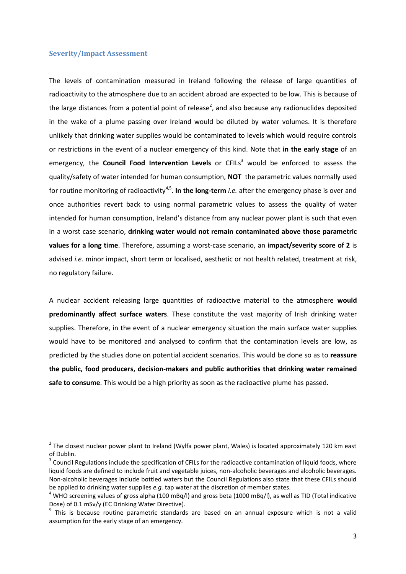#### **Severity/Impact Assessment**

The levels of contamination measured in Ireland following the release of large quantities of radioactivity to the atmosphere due to an accident abroad are expected to be low. This is because of the large distances from a potential point of release<sup>2</sup>, and also because any radionuclides deposited in the wake of a plume passing over Ireland would be diluted by water volumes. It is therefore unlikely that drinking water supplies would be contaminated to levels which would require controls or restrictions in the event of a nuclear emergency of this kind. Note that **in the early stage** of an emergency, the **Council Food Intervention Levels** or CFILs<sup>3</sup> would be enforced to assess the quality/safety of water intended for human consumption, **NOT** the parametric values normally used for routine monitoring of radioactivity<sup>4,5</sup>. In the long-term *i.e.* after the emergency phase is over and once authorities revert back to using normal parametric values to assess the quality of water intended for human consumption, Ireland's distance from any nuclear power plant is such that even in a worst case scenario, **drinking water would not remain contaminated above those parametric values for a long time**. Therefore, assuming a worst-case scenario, an **impact/severity score of 2** is advised *i.e.* minor impact, short term or localised, aesthetic or not health related, treatment at risk, no regulatory failure.

A nuclear accident releasing large quantities of radioactive material to the atmosphere **would predominantly affect surface waters**. These constitute the vast majority of Irish drinking water supplies. Therefore, in the event of a nuclear emergency situation the main surface water supplies would have to be monitored and analysed to confirm that the contamination levels are low, as predicted by the studies done on potential accident scenarios. This would be done so as to **reassure the public, food producers, decision-makers and public authorities that drinking water remained safe to consume**. This would be a high priority as soon as the radioactive plume has passed.

 2 The closest nuclear power plant to Ireland (Wylfa power plant, Wales) is located approximately 120 km east of Dublin.

 $3$  Council Regulations include the specification of CFILs for the radioactive contamination of liquid foods, where liquid foods are defined to include fruit and vegetable juices, non-alcoholic beverages and alcoholic beverages. Non-alcoholic beverages include bottled waters but the Council Regulations also state that these CFILs should be applied to drinking water supplies *e.g.* tap water at the discretion of member states.

 $4$  WHO screening values of gross alpha (100 mBq/l) and gross beta (1000 mBq/l), as well as TID (Total indicative Dose) of 0.1 mSv/y (EC Drinking Water Directive).

<sup>&</sup>lt;sup>5</sup> This is because routine parametric standards are based on an annual exposure which is not a valid assumption for the early stage of an emergency.